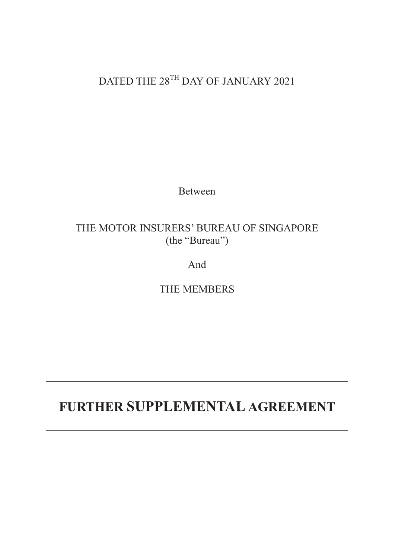## DATED THE 28<sup>TH</sup> DAY OF JANUARY 2021

Between

### THE MOTOR INSURERS' BUREAU OF SINGAPORE (the "Bureau")

And

THE MEMBERS

# **FURTHER SUPPLEMENTAL AGREEMENT**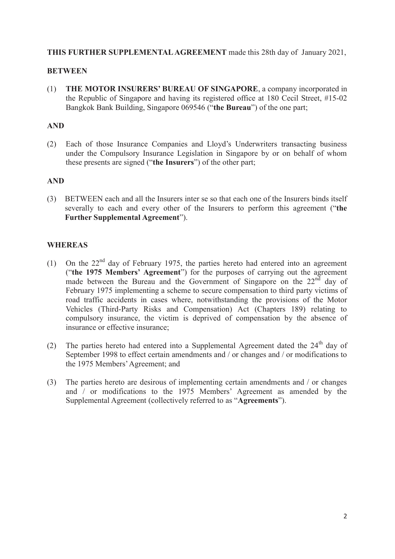#### **THIS FURTHER SUPPLEMENTAL AGREEMENT** made this 28th day of January 2021,

#### **BETWEEN**

(1) **THE MOTOR INSURERS' BUREAU OF SINGAPORE**, a company incorporated in the Republic of Singapore and having its registered office at 180 Cecil Street, #15-02 Bangkok Bank Building, Singapore 069546 ("**the Bureau**") of the one part;

#### **AND**

(2) Each of those Insurance Companies and Lloyd's Underwriters transacting business under the Compulsory Insurance Legislation in Singapore by or on behalf of whom these presents are signed ("**the Insurers**") of the other part;

#### **AND**

(3) BETWEEN each and all the Insurers inter se so that each one of the Insurers binds itself severally to each and every other of the Insurers to perform this agreement ("**the Further Supplemental Agreement**").

#### **WHEREAS**

- (1) On the  $22<sup>nd</sup>$  day of February 1975, the parties hereto had entered into an agreement ("**the 1975 Members' Agreement**") for the purposes of carrying out the agreement made between the Bureau and the Government of Singapore on the 22<sup>nd</sup> day of February 1975 implementing a scheme to secure compensation to third party victims of road traffic accidents in cases where, notwithstanding the provisions of the Motor Vehicles (Third-Party Risks and Compensation) Act (Chapters 189) relating to compulsory insurance, the victim is deprived of compensation by the absence of insurance or effective insurance;
- (2) The parties hereto had entered into a Supplemental Agreement dated the  $24<sup>th</sup>$  day of September 1998 to effect certain amendments and / or changes and / or modifications to the 1975 Members' Agreement; and
- (3) The parties hereto are desirous of implementing certain amendments and / or changes and / or modifications to the 1975 Members' Agreement as amended by the Supplemental Agreement (collectively referred to as "**Agreements**").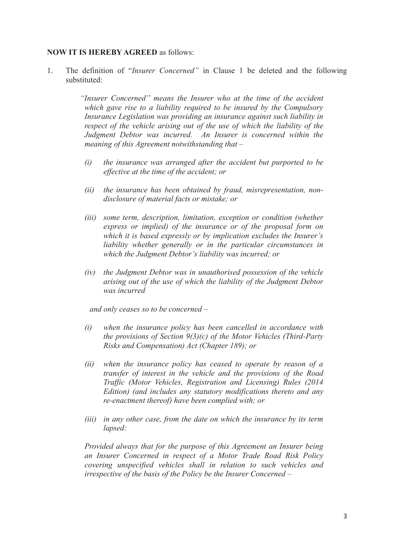#### **NOW IT IS HEREBY AGREED** as follows:

1. The definition of "*Insurer Concerned"* in Clause 1 be deleted and the following substituted:

> *"Insurer Concerned" means the Insurer who at the time of the accident which gave rise to a liability required to be insured by the Compulsory Insurance Legislation was providing an insurance against such liability in respect of the vehicle arising out of the use of which the liability of the Judgment Debtor was incurred. An Insurer is concerned within the meaning of this Agreement notwithstanding that –*

- *(i) the insurance was arranged after the accident but purported to be effective at the time of the accident; or*
- *(ii) the insurance has been obtained by fraud, misrepresentation, nondisclosure of material facts or mistake; or*
- *(iii) some term, description, limitation, exception or condition (whether express or implied) of the insurance or of the proposal form on which it is based expressly or by implication excludes the Insurer's liability whether generally or in the particular circumstances in which the Judgment Debtor's liability was incurred; or*
- *(iv) the Judgment Debtor was in unauthorised possession of the vehicle arising out of the use of which the liability of the Judgment Debtor was incurred*

*and only ceases so to be concerned –* 

- *(i) when the insurance policy has been cancelled in accordance with the provisions of Section 9(3)(c) of the Motor Vehicles (Third-Party Risks and Compensation) Act (Chapter 189); or*
- *(ii) when the insurance policy has ceased to operate by reason of a transfer of interest in the vehicle and the provisions of the Road Traffic (Motor Vehicles, Registration and Licensing) Rules (2014 Edition) (and includes any statutory modifications thereto and any re-enactment thereof) have been complied with; or*
- *(iii) in any other case, from the date on which the insurance by its term lapsed:*

*Provided always that for the purpose of this Agreement an Insurer being an Insurer Concerned in respect of a Motor Trade Road Risk Policy covering unspecified vehicles shall in relation to such vehicles and irrespective of the basis of the Policy be the Insurer Concerned –*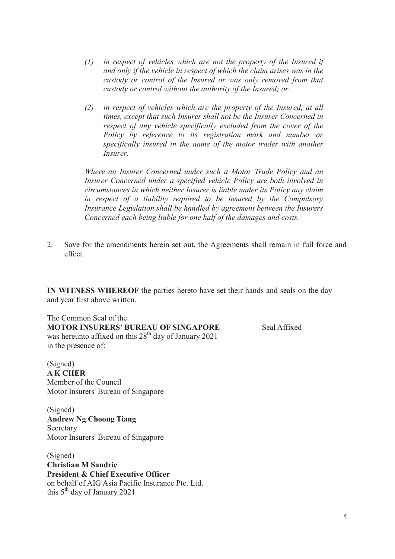- *(1) in respect of vehicles which are not the property of the Insured if and only if the vehicle in respect of which the claim arises was in the custody or control of the Insured or was only removed from that custody or control without the authority of the Insured; or*
- *(2) in respect of vehicles which are the property of the Insured, at all times, except that such Insurer shall not be the Insurer Concerned in respect of any vehicle specifically excluded from the cover of the Policy by reference to its registration mark and number or specifically insured in the name of the motor trader with another Insurer.*

*Where an Insurer Concerned under such a Motor Trade Policy and an Insurer Concerned under a specified vehicle Policy are both involved in circumstances in which neither Insurer is liable under its Policy any claim in respect of a liability required to be insured by the Compulsory Insurance Legislation shall be handled by agreement between the Insurers Concerned each being liable for one half of the damages and costs.*

2. Save for the amendments herein set out, the Agreements shall remain in full force and effect.

**IN WITNESS WHEREOF** the parties hereto have set their hands and seals on the day and year first above written.

The Common Seal of the **MOTOR INSURERS' BUREAU OF SINGAPORE** Seal Affixed was hereunto affixed on this 28<sup>th</sup> day of January 2021 in the presence of:

(Signed) **A K CHER** Member of the Council Motor Insurers' Bureau of Singapore

(Signed) **Andrew Ng Choong Tiang Secretary** Motor Insurers' Bureau of Singapore

(Signed) **Christian M Sandric President & Chief Executive Officer** on behalf of AIG Asia Pacific Insurance Pte. Ltd. this  $5<sup>th</sup>$  day of January 2021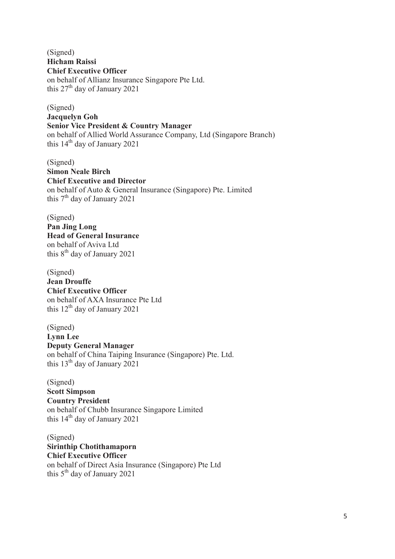(Signed) **Hicham Raissi Chief Executive Officer** on behalf of Allianz Insurance Singapore Pte Ltd. this  $27<sup>th</sup>$  day of January 2021

(Signed) **Jacquelyn Goh Senior Vice President & Country Manager** on behalf of Allied World Assurance Company, Ltd (Singapore Branch) this  $14<sup>th</sup>$  day of January 2021

(Signed) **Simon Neale Birch Chief Executive and Director** on behalf of Auto & General Insurance (Singapore) Pte. Limited this  $7<sup>th</sup>$  day of January 2021

(Signed) **Pan Jing Long Head of General Insurance** on behalf of Aviva Ltd this  $8<sup>th</sup>$  day of January 2021

(Signed) **Jean Drouffe Chief Executive Officer** on behalf of AXA Insurance Pte Ltd this  $12<sup>th</sup>$  day of January 2021

(Signed) **Lynn Lee Deputy General Manager** on behalf of China Taiping Insurance (Singapore) Pte. Ltd. this  $13<sup>th</sup>$  day of January 2021

(Signed) **Scott Simpson Country President** on behalf of Chubb Insurance Singapore Limited this  $14<sup>th</sup>$  day of January 2021

(Signed) **Sirinthip Chotithamaporn Chief Executive Officer** on behalf of Direct Asia Insurance (Singapore) Pte Ltd this  $5<sup>th</sup>$  day of January 2021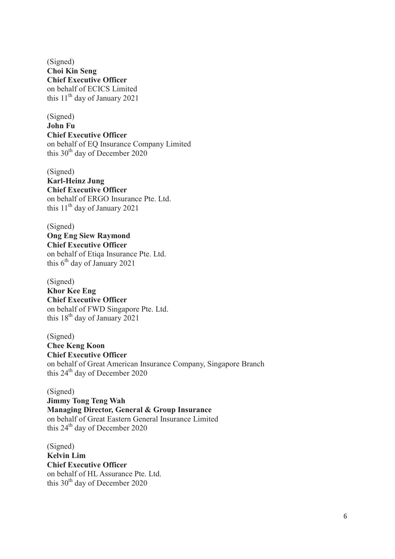(Signed) **Choi Kin Seng Chief Executive Officer** on behalf of ECICS Limited this  $11<sup>th</sup>$  day of January 2021

(Signed) **John Fu Chief Executive Officer** on behalf of EQ Insurance Company Limited this  $30<sup>th</sup>$  day of December 2020

(Signed) **Karl-Heinz Jung Chief Executive Officer** on behalf of ERGO Insurance Pte. Ltd. this  $11<sup>th</sup>$  day of January 2021

(Signed) **Ong Eng Siew Raymond Chief Executive Officer** on behalf of Etiqa Insurance Pte. Ltd. this  $6<sup>th</sup>$  day of January 2021

(Signed) **Khor Kee Eng Chief Executive Officer** on behalf of FWD Singapore Pte. Ltd. this  $18<sup>th</sup>$  day of January 2021

(Signed) **Chee Keng Koon Chief Executive Officer** on behalf of Great American Insurance Company, Singapore Branch this  $24<sup>th</sup>$  day of December 2020

(Signed) **Jimmy Tong Teng Wah Managing Director, General & Group Insurance** on behalf of Great Eastern General Insurance Limited this  $24<sup>th</sup>$  day of December 2020

(Signed) **Kelvin Lim Chief Executive Officer** on behalf of HL Assurance Pte. Ltd. this  $30<sup>th</sup>$  day of December 2020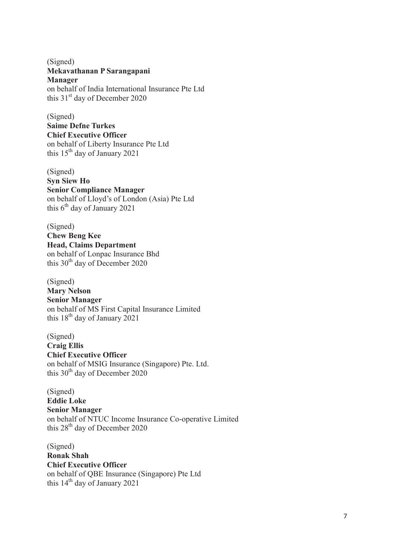(Signed) **Mekavathanan P Sarangapani Manager** on behalf of India International Insurance Pte Ltd

this  $31<sup>st</sup>$  day of December 2020 (Signed)

**Saime Defne Turkes Chief Executive Officer** on behalf of Liberty Insurance Pte Ltd this  $15<sup>th</sup>$  day of January 2021

(Signed) **Syn Siew Ho Senior Compliance Manager** on behalf of Lloyd's of London (Asia) Pte Ltd this  $6<sup>th</sup>$  day of January 2021

(Signed) **Chew Beng Kee Head, Claims Department** on behalf of Lonpac Insurance Bhd this  $30<sup>th</sup>$  day of December 2020

(Signed) **Mary Nelson Senior Manager** on behalf of MS First Capital Insurance Limited this  $18^{th}$  day of January 2021

(Signed) **Craig Ellis Chief Executive Officer** on behalf of MSIG Insurance (Singapore) Pte. Ltd. this  $30<sup>th</sup>$  day of December 2020

(Signed) **Eddie Loke Senior Manager** on behalf of NTUC Income Insurance Co-operative Limited this  $28<sup>th</sup>$  day of December 2020

(Signed) **Ronak Shah Chief Executive Officer** on behalf of QBE Insurance (Singapore) Pte Ltd this  $14<sup>th</sup>$  day of January 2021